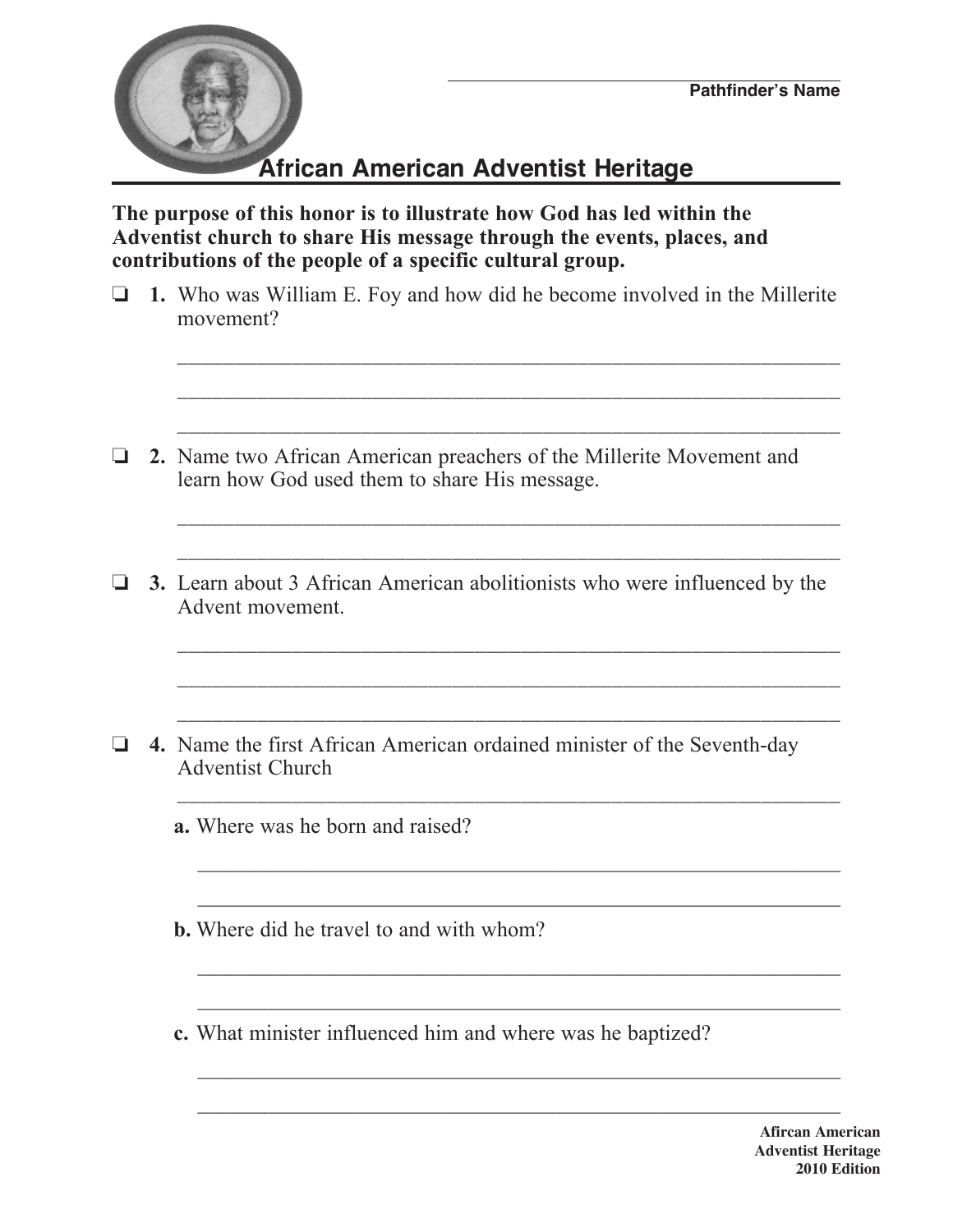

## **African American Adventist Heritage**

**The purpose of this honor is to illustrate how God has led within the Adventist church to share His message through the events, places, and contributions of the people of a specific cultural group.**

o **1.** Who was William E. Foy and how did he become involved in the Millerite movement?

\_\_\_\_\_\_\_\_\_\_\_\_\_\_\_\_\_\_\_\_\_\_\_\_\_\_\_\_\_\_\_\_\_\_\_\_\_\_\_\_\_\_\_\_\_\_\_\_\_\_\_\_\_\_\_\_\_\_

\_\_\_\_\_\_\_\_\_\_\_\_\_\_\_\_\_\_\_\_\_\_\_\_\_\_\_\_\_\_\_\_\_\_\_\_\_\_\_\_\_\_\_\_\_\_\_\_\_\_\_\_\_\_\_\_\_\_

\_\_\_\_\_\_\_\_\_\_\_\_\_\_\_\_\_\_\_\_\_\_\_\_\_\_\_\_\_\_\_\_\_\_\_\_\_\_\_\_\_\_\_\_\_\_\_\_\_\_\_\_\_\_\_\_\_\_

\_\_\_\_\_\_\_\_\_\_\_\_\_\_\_\_\_\_\_\_\_\_\_\_\_\_\_\_\_\_\_\_\_\_\_\_\_\_\_\_\_\_\_\_\_\_\_\_\_\_\_\_\_\_\_\_\_\_

\_\_\_\_\_\_\_\_\_\_\_\_\_\_\_\_\_\_\_\_\_\_\_\_\_\_\_\_\_\_\_\_\_\_\_\_\_\_\_\_\_\_\_\_\_\_\_\_\_\_\_\_\_\_\_\_\_\_

- o **2.** Name two African American preachers of the Millerite Movement and learn how God used them to share His message.
- **3.** Learn about 3 African American abolitionists who were influenced by the Advent movement.

\_\_\_\_\_\_\_\_\_\_\_\_\_\_\_\_\_\_\_\_\_\_\_\_\_\_\_\_\_\_\_\_\_\_\_\_\_\_\_\_\_\_\_\_\_\_\_\_\_\_\_\_\_\_\_\_\_\_

\_\_\_\_\_\_\_\_\_\_\_\_\_\_\_\_\_\_\_\_\_\_\_\_\_\_\_\_\_\_\_\_\_\_\_\_\_\_\_\_\_\_\_\_\_\_\_\_\_\_\_\_\_\_\_\_\_\_

\_\_\_\_\_\_\_\_\_\_\_\_\_\_\_\_\_\_\_\_\_\_\_\_\_\_\_\_\_\_\_\_\_\_\_\_\_\_\_\_\_\_\_\_\_\_\_\_\_\_\_\_\_\_\_\_\_\_

\_\_\_\_\_\_\_\_\_\_\_\_\_\_\_\_\_\_\_\_\_\_\_\_\_\_\_\_\_\_\_\_\_\_\_\_\_\_\_\_\_\_\_\_\_\_\_\_\_\_\_\_\_\_\_\_\_\_

 $\mathcal{L}_\text{max}$  and  $\mathcal{L}_\text{max}$  and  $\mathcal{L}_\text{max}$  and  $\mathcal{L}_\text{max}$  and  $\mathcal{L}_\text{max}$  and  $\mathcal{L}_\text{max}$ 

 $\mathcal{L}_\text{max}$  and  $\mathcal{L}_\text{max}$  and  $\mathcal{L}_\text{max}$  and  $\mathcal{L}_\text{max}$  and  $\mathcal{L}_\text{max}$  and  $\mathcal{L}_\text{max}$ 

 $\mathcal{L}_\text{max}$  and  $\mathcal{L}_\text{max}$  and  $\mathcal{L}_\text{max}$  and  $\mathcal{L}_\text{max}$  and  $\mathcal{L}_\text{max}$  and  $\mathcal{L}_\text{max}$ 

 $\mathcal{L}_\text{max}$  , and the contract of the contract of the contract of the contract of the contract of the contract of the contract of the contract of the contract of the contract of the contract of the contract of the contr

 $\mathcal{L}_\text{max}$  and  $\mathcal{L}_\text{max}$  and  $\mathcal{L}_\text{max}$  and  $\mathcal{L}_\text{max}$  and  $\mathcal{L}_\text{max}$  and  $\mathcal{L}_\text{max}$ 

 $\mathcal{L}_\text{max}$  and  $\mathcal{L}_\text{max}$  and  $\mathcal{L}_\text{max}$  and  $\mathcal{L}_\text{max}$  and  $\mathcal{L}_\text{max}$  and  $\mathcal{L}_\text{max}$ 

- **4.** Name the first African American ordained minister of the Seventh-day Adventist Church
	- **a.** Where was he born and raised?
	- **b.** Where did he travel to and with whom?
	- **c.** What minister influenced him and where was he baptized?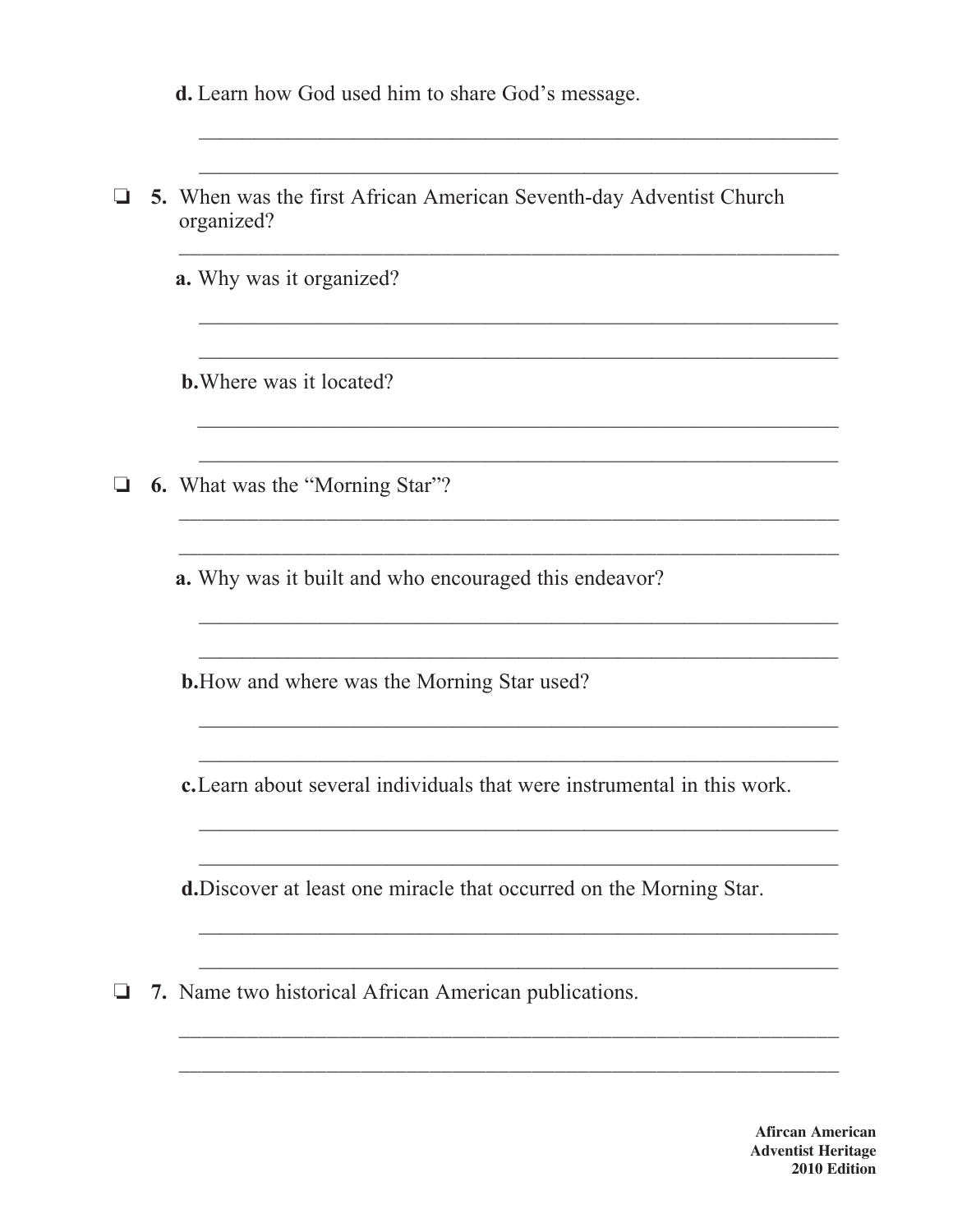|  | <b>d.</b> Learn how God used him to share God's message.                          |
|--|-----------------------------------------------------------------------------------|
|  | 5. When was the first African American Seventh-day Adventist Church<br>organized? |
|  | <b>a.</b> Why was it organized?                                                   |
|  | <b>b.</b> Where was it located?                                                   |
|  | <b>6.</b> What was the "Morning Star"?                                            |
|  | <b>a.</b> Why was it built and who encouraged this endeavor?                      |
|  | <b>b.</b> How and where was the Morning Star used?                                |
|  | c. Learn about several individuals that were instrumental in this work.           |
|  | d. Discover at least one miracle that occurred on the Morning Star.               |
|  | 7. Name two historical African American publications.                             |

**Afircan American Adventist Heritage** 2010 Edition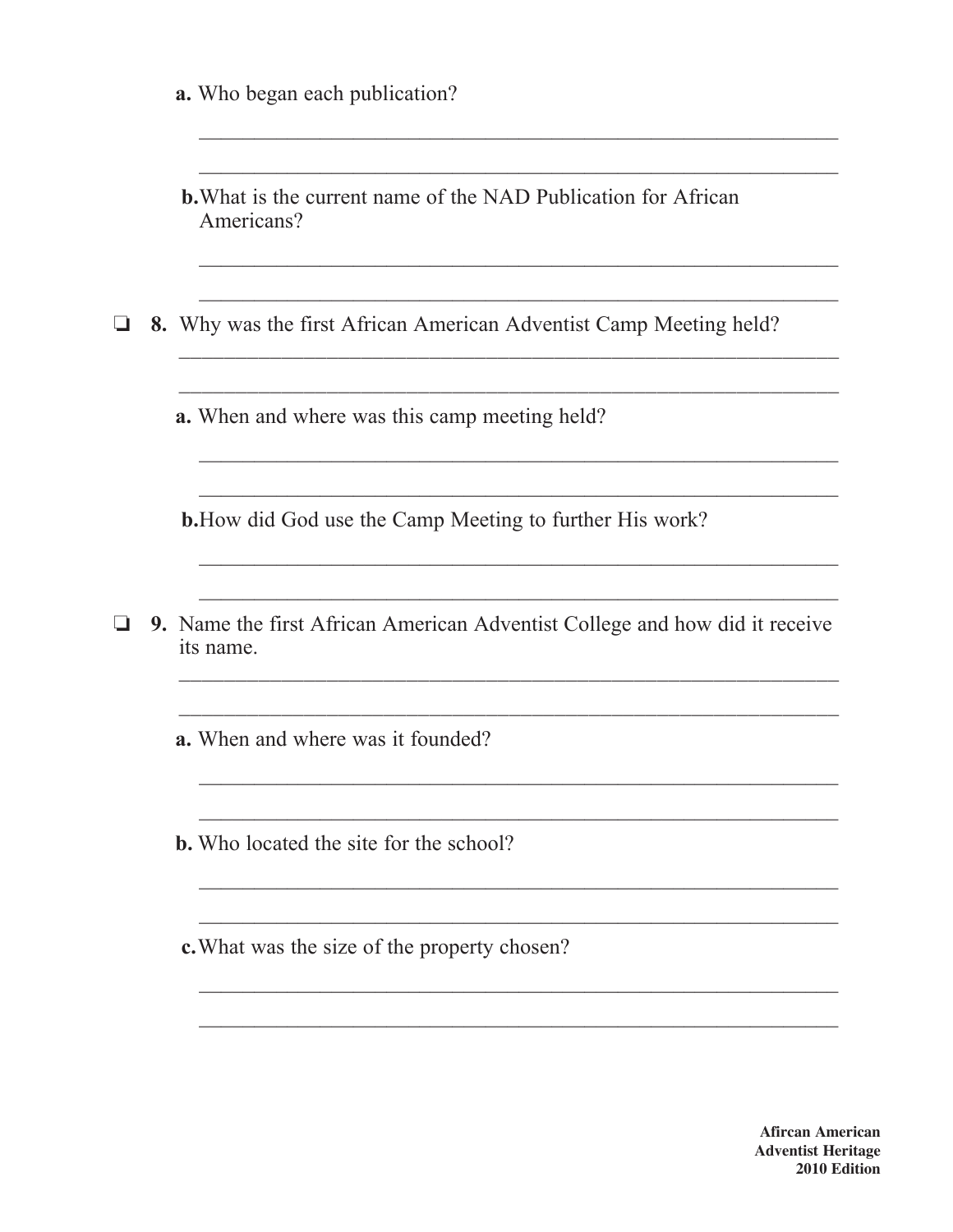|  |  |  |  |  |  | <b>a.</b> Who began each publication? |
|--|--|--|--|--|--|---------------------------------------|
|--|--|--|--|--|--|---------------------------------------|

| <b>b.</b> What is the current name of the NAD Publication for African |  |  |  |  |
|-----------------------------------------------------------------------|--|--|--|--|
| Americans?                                                            |  |  |  |  |

 $\Box$  8. Why was the first African American Adventist Camp Meeting held?

a. When and where was this camp meeting held?

**b.** How did God use the Camp Meeting to further His work?

 $\Box$  9. Name the first African American Adventist College and how did it receive its name.

<u> 1989 - Johann Stein, marwolaethau a bhann an t-Amhain an t-Amhain an t-Amhain an t-Amhain an t-Amhain an t-A</u>

**a.** When and where was it founded?

**b.** Who located the site for the school?

c. What was the size of the property chosen?

**Afircan American Adventist Heritage** 2010 Edition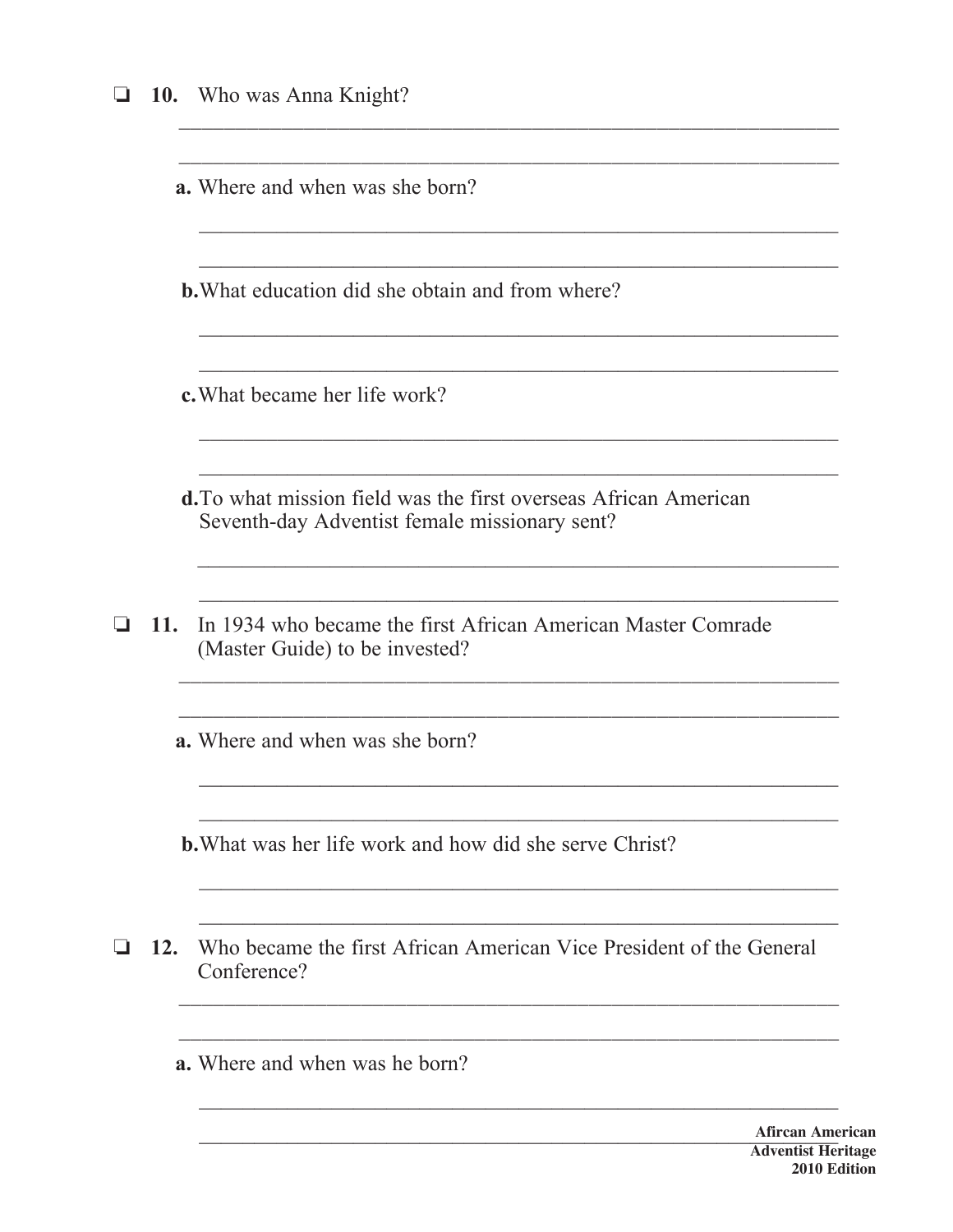| ⊔ |     | 10. Who was Anna Knight?                                                                                          |  |  |  |  |  |
|---|-----|-------------------------------------------------------------------------------------------------------------------|--|--|--|--|--|
|   |     |                                                                                                                   |  |  |  |  |  |
|   |     | <b>a.</b> Where and when was she born?                                                                            |  |  |  |  |  |
|   |     |                                                                                                                   |  |  |  |  |  |
|   |     | <b>b.</b> What education did she obtain and from where?                                                           |  |  |  |  |  |
|   |     |                                                                                                                   |  |  |  |  |  |
|   |     | c. What became her life work?                                                                                     |  |  |  |  |  |
|   |     |                                                                                                                   |  |  |  |  |  |
|   |     | d. To what mission field was the first overseas African American<br>Seventh-day Adventist female missionary sent? |  |  |  |  |  |
|   |     |                                                                                                                   |  |  |  |  |  |
| ❏ | 11. | In 1934 who became the first African American Master Comrade<br>(Master Guide) to be invested?                    |  |  |  |  |  |
|   |     |                                                                                                                   |  |  |  |  |  |
|   |     | <b>a.</b> Where and when was she born?                                                                            |  |  |  |  |  |
|   |     |                                                                                                                   |  |  |  |  |  |
|   |     | <b>b.</b> What was her life work and how did she serve Christ?                                                    |  |  |  |  |  |
|   |     |                                                                                                                   |  |  |  |  |  |
| ❏ | 12. | Who became the first African American Vice President of the General<br>Conference?                                |  |  |  |  |  |
|   |     |                                                                                                                   |  |  |  |  |  |
|   |     | <b>a.</b> Where and when was he born?                                                                             |  |  |  |  |  |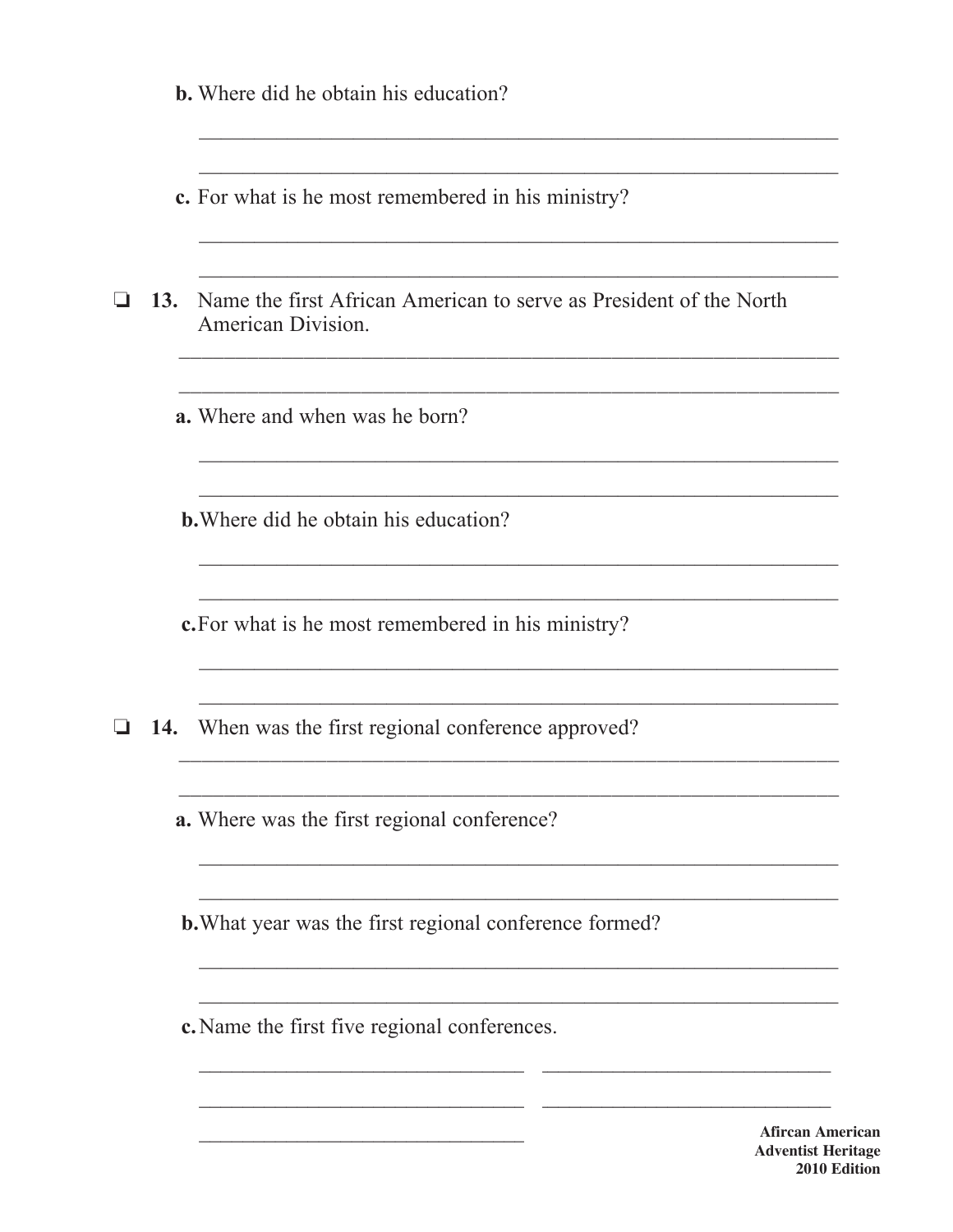|    |     | <b>b.</b> Where did he obtain his education?                                                 |  |  |  |  |  |  |
|----|-----|----------------------------------------------------------------------------------------------|--|--|--|--|--|--|
|    |     | c. For what is he most remembered in his ministry?                                           |  |  |  |  |  |  |
| ⊔  |     | 13. Name the first African American to serve as President of the North<br>American Division. |  |  |  |  |  |  |
|    |     | <b>a.</b> Where and when was he born?                                                        |  |  |  |  |  |  |
|    |     | <b>b.</b> Where did he obtain his education?                                                 |  |  |  |  |  |  |
|    |     | c. For what is he most remembered in his ministry?                                           |  |  |  |  |  |  |
| u. | 14. | When was the first regional conference approved?                                             |  |  |  |  |  |  |
|    |     | a. Where was the first regional conference?                                                  |  |  |  |  |  |  |
|    |     | <b>b.</b> What year was the first regional conference formed?                                |  |  |  |  |  |  |
|    |     | c. Name the first five regional conferences.                                                 |  |  |  |  |  |  |
|    |     | <b>Afircan Am</b>                                                                            |  |  |  |  |  |  |

erican **Adventist Heritage** 2010 Edition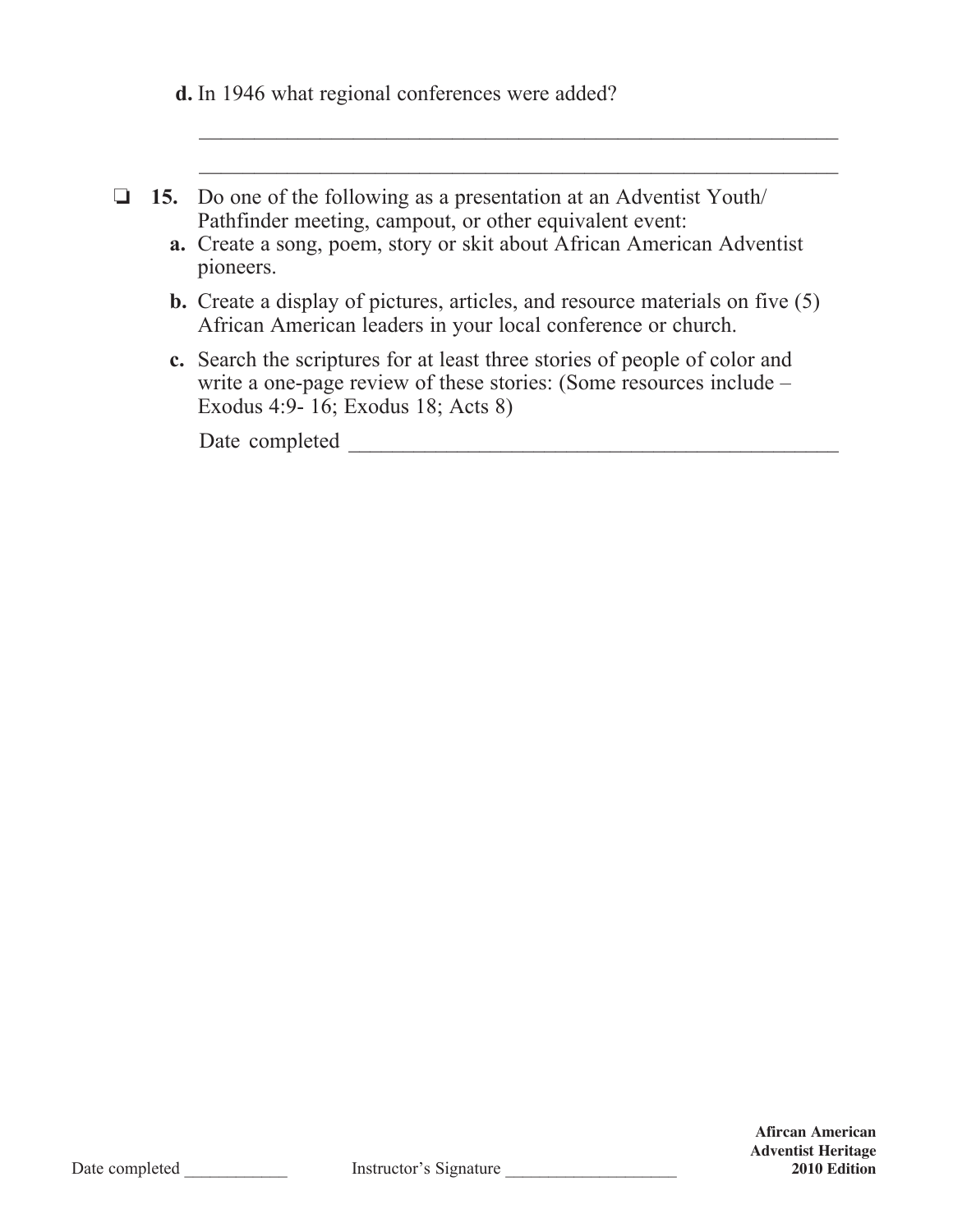**d.** In 1946 what regional conferences were added?

|  | $\Box$ 15. Do one of the following as a presentation at an Adventist Youth/ |
|--|-----------------------------------------------------------------------------|
|  | Pathfinder meeting, campout, or other equivalent event:                     |

 **a.** Create a song, poem, story or skit about African American Adventist pioneers.

 $\mathcal{L}_\text{max}$  , and the contribution of the contribution of the contribution of the contribution of the contribution of the contribution of the contribution of the contribution of the contribution of the contribution of t

 $\mathcal{L}_\text{max}$  , and the contribution of the contribution of the contribution of the contribution of the contribution of the contribution of the contribution of the contribution of the contribution of the contribution of t

- **b.** Create a display of pictures, articles, and resource materials on five (5) African American leaders in your local conference or church.
- **c.** Search the scriptures for at least three stories of people of color and write a one-page review of these stories: (Some resources include – Exodus 4:9- 16; Exodus 18; Acts 8)

Date completed \_\_\_\_\_\_\_\_\_\_\_\_\_\_\_\_\_\_\_\_\_\_\_\_\_\_\_\_\_\_\_\_\_\_\_\_\_\_\_\_\_\_\_\_\_